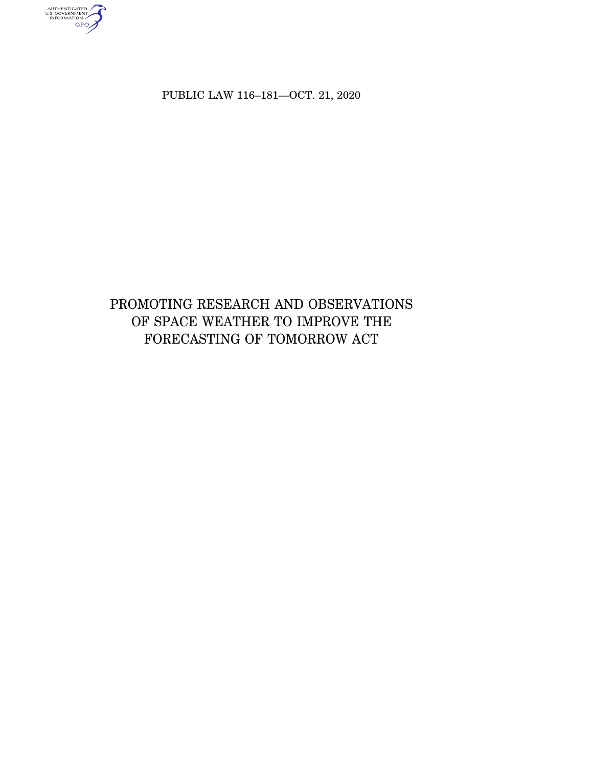AUTHENTICATED<br>U.S. GOVERNMENT<br>INFORMATION

PUBLIC LAW 116–181—OCT. 21, 2020

# PROMOTING RESEARCH AND OBSERVATIONS OF SPACE WEATHER TO IMPROVE THE FORECASTING OF TOMORROW ACT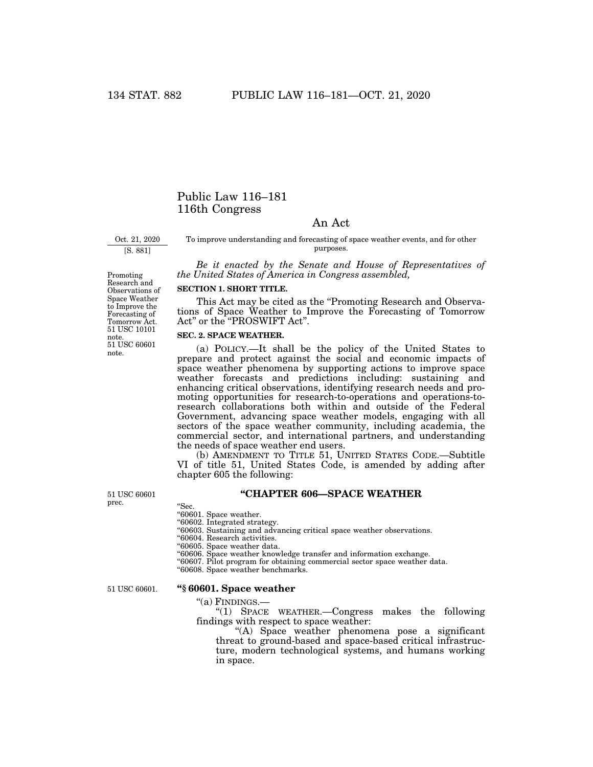# Public Law 116–181 116th Congress

# An Act

Oct. 21, 2020

[S. 881]

To improve understanding and forecasting of space weather events, and for other purposes.

*Be it enacted by the Senate and House of Representatives of the United States of America in Congress assembled,* 

## **SECTION 1. SHORT TITLE.**

This Act may be cited as the "Promoting Research and Observations of Space Weather to Improve the Forecasting of Tomorrow Act" or the "PROSWIFT Act".

## **SEC. 2. SPACE WEATHER.**

(a) POLICY.—It shall be the policy of the United States to prepare and protect against the social and economic impacts of space weather phenomena by supporting actions to improve space weather forecasts and predictions including: sustaining and enhancing critical observations, identifying research needs and promoting opportunities for research-to-operations and operations-toresearch collaborations both within and outside of the Federal Government, advancing space weather models, engaging with all sectors of the space weather community, including academia, the commercial sector, and international partners, and understanding the needs of space weather end users.

(b) AMENDMENT TO TITLE 51, UNITED STATES CODE.—Subtitle VI of title 51, United States Code, is amended by adding after chapter 605 the following:

**''CHAPTER 606—SPACE WEATHER** 

''Sec. ''60601. Space weather.

''60602. Integrated strategy.

''60603. Sustaining and advancing critical space weather observations.

''60604. Research activities.

''60605. Space weather data.

''60606. Space weather knowledge transfer and information exchange.

''60607. Pilot program for obtaining commercial sector space weather data.

''60608. Space weather benchmarks.

51 USC 60601.

51 USC 60601 prec.

#### **''§ 60601. Space weather**

''(a) FINDINGS.—

''(1) SPACE WEATHER.—Congress makes the following findings with respect to space weather:

"(A) Space weather phenomena pose a significant threat to ground-based and space-based critical infrastructure, modern technological systems, and humans working in space.

51 USC 60601 note. 51 USC 10101 note. Promoting Research and Observations of Space Weather to Improve the Forecasting of Tomorrow Act.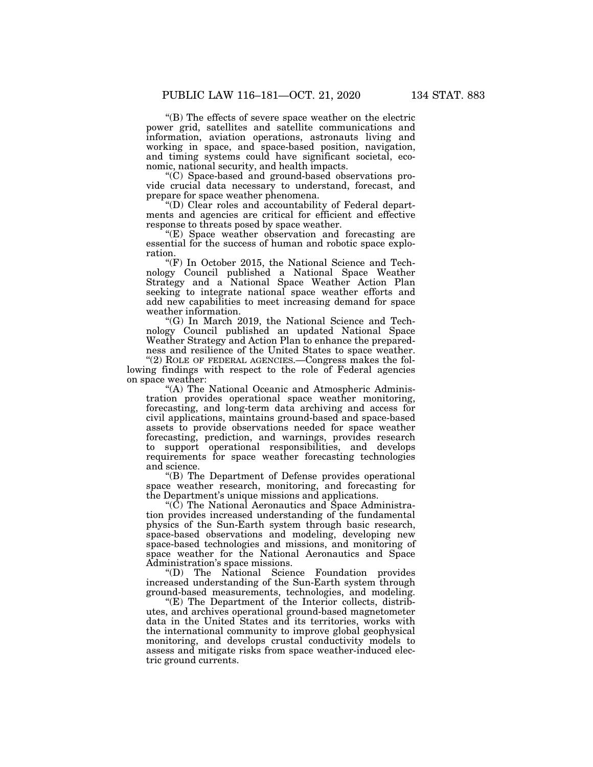''(B) The effects of severe space weather on the electric power grid, satellites and satellite communications and information, aviation operations, astronauts living and working in space, and space-based position, navigation, and timing systems could have significant societal, economic, national security, and health impacts.

''(C) Space-based and ground-based observations provide crucial data necessary to understand, forecast, and prepare for space weather phenomena.

''(D) Clear roles and accountability of Federal departments and agencies are critical for efficient and effective response to threats posed by space weather.

"(E) Space weather observation and forecasting are essential for the success of human and robotic space exploration.

" $(F)$  In October 2015, the National Science and Technology Council published a National Space Weather Strategy and a National Space Weather Action Plan seeking to integrate national space weather efforts and add new capabilities to meet increasing demand for space weather information.

''(G) In March 2019, the National Science and Technology Council published an updated National Space Weather Strategy and Action Plan to enhance the preparedness and resilience of the United States to space weather.

"(2) ROLE OF FEDERAL AGENCIES.—Congress makes the following findings with respect to the role of Federal agencies on space weather:

"(A) The National Oceanic and Atmospheric Administration provides operational space weather monitoring, forecasting, and long-term data archiving and access for civil applications, maintains ground-based and space-based assets to provide observations needed for space weather forecasting, prediction, and warnings, provides research to support operational responsibilities, and develops requirements for space weather forecasting technologies and science.

''(B) The Department of Defense provides operational space weather research, monitoring, and forecasting for the Department's unique missions and applications.

''(C) The National Aeronautics and Space Administration provides increased understanding of the fundamental physics of the Sun-Earth system through basic research, space-based observations and modeling, developing new space-based technologies and missions, and monitoring of space weather for the National Aeronautics and Space Administration's space missions.

''(D) The National Science Foundation provides increased understanding of the Sun-Earth system through ground-based measurements, technologies, and modeling.

"(E) The Department of the Interior collects, distributes, and archives operational ground-based magnetometer data in the United States and its territories, works with the international community to improve global geophysical monitoring, and develops crustal conductivity models to assess and mitigate risks from space weather-induced electric ground currents.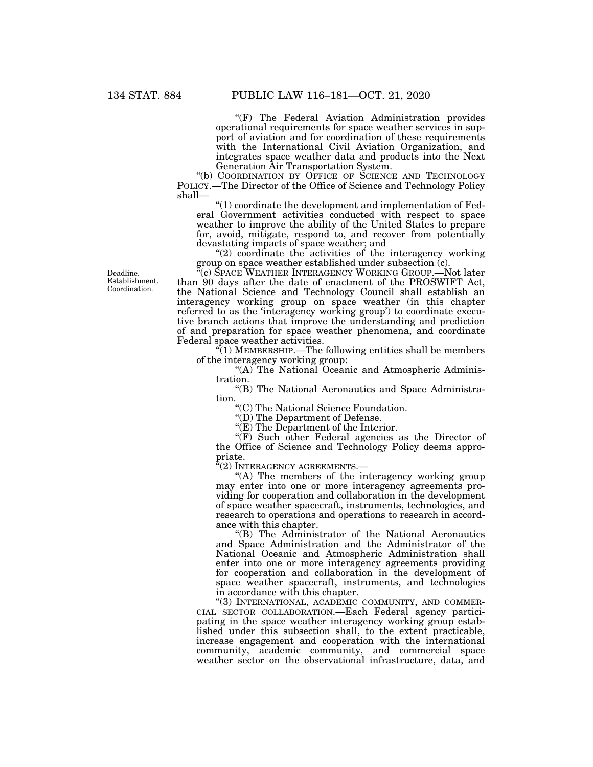"(F) The Federal Aviation Administration provides operational requirements for space weather services in support of aviation and for coordination of these requirements with the International Civil Aviation Organization, and integrates space weather data and products into the Next Generation Air Transportation System.

''(b) COORDINATION BY OFFICE OF SCIENCE AND TECHNOLOGY POLICY.—The Director of the Office of Science and Technology Policy shall—

''(1) coordinate the development and implementation of Federal Government activities conducted with respect to space weather to improve the ability of the United States to prepare for, avoid, mitigate, respond to, and recover from potentially devastating impacts of space weather; and

" $(2)$  coordinate the activities of the interagency working group on space weather established under subsection (c).

''(c) SPACE WEATHER INTERAGENCY WORKING GROUP.—Not later than 90 days after the date of enactment of the PROSWIFT Act, the National Science and Technology Council shall establish an interagency working group on space weather (in this chapter referred to as the 'interagency working group') to coordinate executive branch actions that improve the understanding and prediction of and preparation for space weather phenomena, and coordinate Federal space weather activities.

 $\sqrt{\ }$ (1) MEMBERSHIP.—The following entities shall be members of the interagency working group:

"(A) The National Oceanic and Atmospheric Administration.

''(B) The National Aeronautics and Space Administration.

''(C) The National Science Foundation.

''(D) The Department of Defense.

"(E) The Department of the Interior.

 $(F)$  Such other Federal agencies as the Director of the Office of Science and Technology Policy deems appropriate.

''(2) INTERAGENCY AGREEMENTS.—

"(A) The members of the interagency working group may enter into one or more interagency agreements providing for cooperation and collaboration in the development of space weather spacecraft, instruments, technologies, and research to operations and operations to research in accordance with this chapter.

''(B) The Administrator of the National Aeronautics and Space Administration and the Administrator of the National Oceanic and Atmospheric Administration shall enter into one or more interagency agreements providing for cooperation and collaboration in the development of space weather spacecraft, instruments, and technologies in accordance with this chapter.<br>"(3) INTERNATIONAL, ACADEMIC COMMUNITY, AND COMMER-

CIAL SECTOR COLLABORATION.—Each Federal agency participating in the space weather interagency working group established under this subsection shall, to the extent practicable, increase engagement and cooperation with the international community, academic community, and commercial space weather sector on the observational infrastructure, data, and

Deadline. Establishment. Coordination.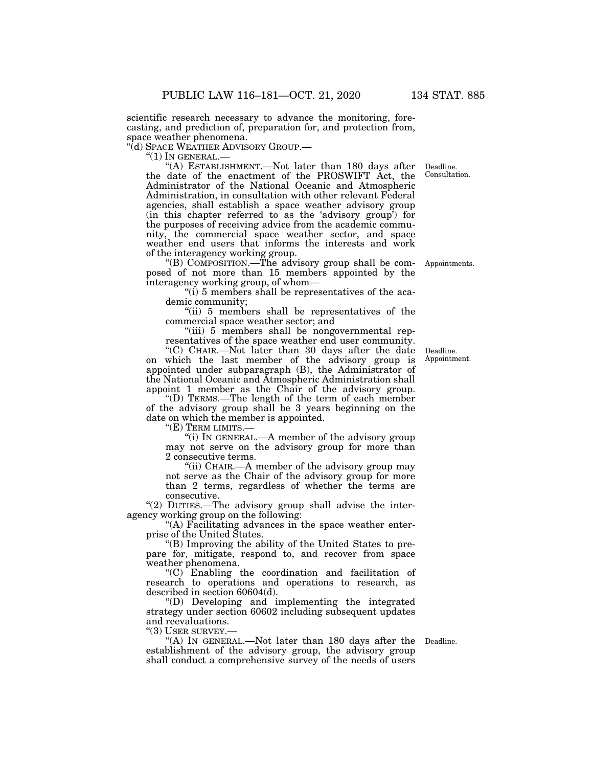scientific research necessary to advance the monitoring, forecasting, and prediction of, preparation for, and protection from, space weather phenomena.<br>"(d) SPACE WEATHER ADVISORY GROUP.—

''(d) SPACE WEATHER ADVISORY GROUP.— ''(1) IN GENERAL.— ''(A) ESTABLISHMENT.—Not later than 180 days after Deadline. the date of the enactment of the PROSWIFT Act, the Administrator of the National Oceanic and Atmospheric Administration, in consultation with other relevant Federal agencies, shall establish a space weather advisory group (in this chapter referred to as the 'advisory group') for the purposes of receiving advice from the academic community, the commercial space weather sector, and space weather end users that informs the interests and work of the interagency working group.

''(B) COMPOSITION.—The advisory group shall be composed of not more than 15 members appointed by the interagency working group, of whom—

''(i) 5 members shall be representatives of the academic community;

''(ii) 5 members shall be representatives of the commercial space weather sector; and

"(iii) 5 members shall be nongovernmental representatives of the space weather end user community.

''(C) CHAIR.—Not later than 30 days after the date on which the last member of the advisory group is appointed under subparagraph (B), the Administrator of the National Oceanic and Atmospheric Administration shall appoint 1 member as the Chair of the advisory group.

''(D) TERMS.—The length of the term of each member of the advisory group shall be 3 years beginning on the date on which the member is appointed.

"(E) TERM LIMITS.-

''(i) IN GENERAL.—A member of the advisory group may not serve on the advisory group for more than 2 consecutive terms.

"(ii) CHAIR.—A member of the advisory group may not serve as the Chair of the advisory group for more than 2 terms, regardless of whether the terms are consecutive.

"(2) DUTIES.—The advisory group shall advise the interagency working group on the following:

''(A) Facilitating advances in the space weather enterprise of the United States.

''(B) Improving the ability of the United States to prepare for, mitigate, respond to, and recover from space weather phenomena.

''(C) Enabling the coordination and facilitation of research to operations and operations to research, as described in section 60604(d).

''(D) Developing and implementing the integrated strategy under section 60602 including subsequent updates and reevaluations.

''(3) USER SURVEY.—

"(A) IN GENERAL.—Not later than 180 days after the Deadline. establishment of the advisory group, the advisory group shall conduct a comprehensive survey of the needs of users

Deadline.

Appointments.

Appointment.

Consultation.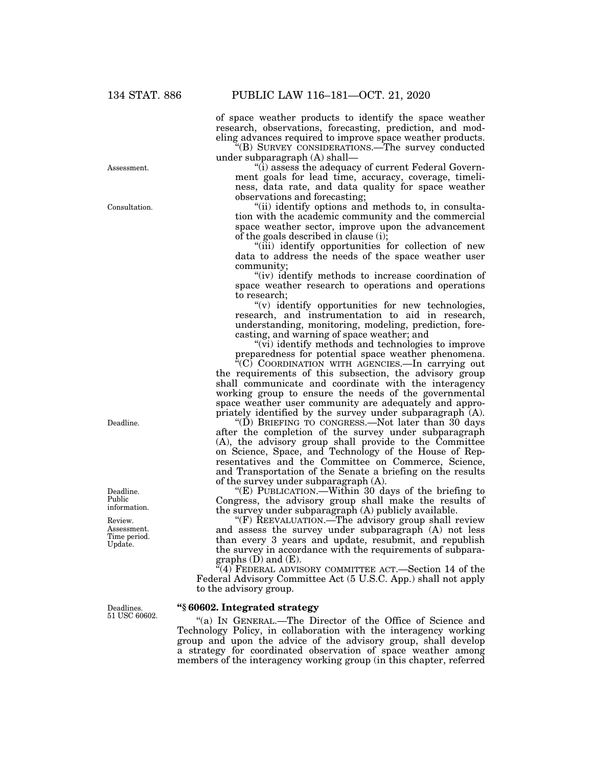Consultation.

Assessment.

of space weather products to identify the space weather research, observations, forecasting, prediction, and modeling advances required to improve space weather products.

''(B) SURVEY CONSIDERATIONS.—The survey conducted under subparagraph (A) shall—

''(i) assess the adequacy of current Federal Government goals for lead time, accuracy, coverage, timeliness, data rate, and data quality for space weather observations and forecasting;

''(ii) identify options and methods to, in consultation with the academic community and the commercial space weather sector, improve upon the advancement of the goals described in clause (i);

"(iii) identify opportunities for collection of new data to address the needs of the space weather user community;

"(iv) identify methods to increase coordination of space weather research to operations and operations to research;

''(v) identify opportunities for new technologies, research, and instrumentation to aid in research, understanding, monitoring, modeling, prediction, forecasting, and warning of space weather; and

"(vi) identify methods and technologies to improve" preparedness for potential space weather phenomena.

 $\sqrt[\text{G}]{C}$  COORDINATION WITH AGENCIES.—In carrying out the requirements of this subsection, the advisory group shall communicate and coordinate with the interagency working group to ensure the needs of the governmental space weather user community are adequately and appropriately identified by the survey under subparagraph (A).

"(D) BRIEFING TO CONGRESS.—Not later than  $30$  days after the completion of the survey under subparagraph (A), the advisory group shall provide to the Committee on Science, Space, and Technology of the House of Representatives and the Committee on Commerce, Science, and Transportation of the Senate a briefing on the results of the survey under subparagraph (A).

''(E) PUBLICATION.—Within 30 days of the briefing to Congress, the advisory group shall make the results of the survey under subparagraph (A) publicly available.

"(F) REEVALUATION.—The advisory group shall review and assess the survey under subparagraph (A) not less than every 3 years and update, resubmit, and republish the survey in accordance with the requirements of subparagraphs (D) and (E).

"(4) FEDERAL ADVISORY COMMITTEE ACT.—Section 14 of the Federal Advisory Committee Act (5 U.S.C. App.) shall not apply to the advisory group.

## **''§ 60602. Integrated strategy**

''(a) IN GENERAL.—The Director of the Office of Science and Technology Policy, in collaboration with the interagency working group and upon the advice of the advisory group, shall develop a strategy for coordinated observation of space weather among members of the interagency working group (in this chapter, referred

Deadline.

Deadline. Public information.

Review. Assessment. Time period. Update.

Deadlines. 51 USC 60602.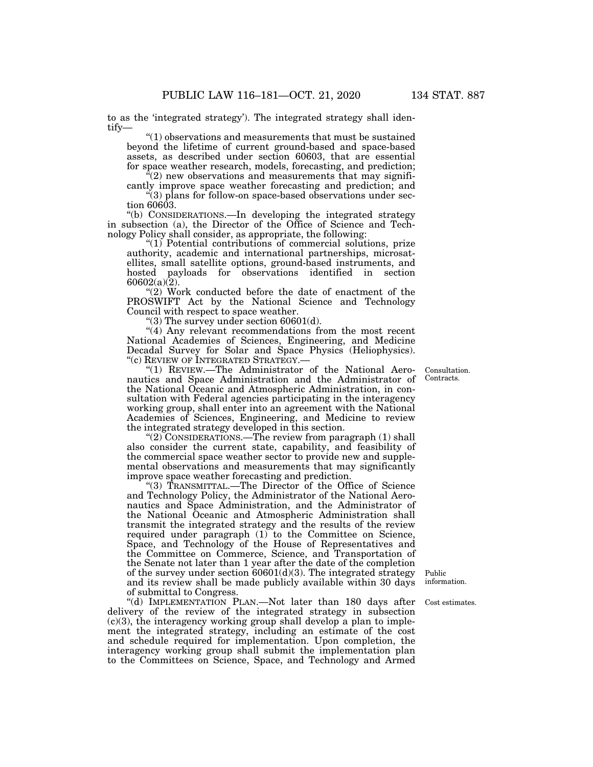to as the 'integrated strategy'). The integrated strategy shall identify—

 $"(1)$  observations and measurements that must be sustained beyond the lifetime of current ground-based and space-based assets, as described under section 60603, that are essential for space weather research, models, forecasting, and prediction;

 $(2)$  new observations and measurements that may significantly improve space weather forecasting and prediction; and ''(3) plans for follow-on space-based observations under sec-

tion 60603.

''(b) CONSIDERATIONS.—In developing the integrated strategy in subsection (a), the Director of the Office of Science and Technology Policy shall consider, as appropriate, the following:

''(1) Potential contributions of commercial solutions, prize authority, academic and international partnerships, microsatellites, small satellite options, ground-based instruments, and hosted payloads for observations identified in section  $60602(a)(2)$ .

"(2) Work conducted before the date of enactment of the PROSWIFT Act by the National Science and Technology Council with respect to space weather.

"(3) The survey under section  $60601(d)$ .

"(4) Any relevant recommendations from the most recent National Academies of Sciences, Engineering, and Medicine Decadal Survey for Solar and Space Physics (Heliophysics). ''(c) REVIEW OF INTEGRATED STRATEGY.—

''(1) REVIEW.—The Administrator of the National Aeronautics and Space Administration and the Administrator of the National Oceanic and Atmospheric Administration, in consultation with Federal agencies participating in the interagency working group, shall enter into an agreement with the National Academies of Sciences, Engineering, and Medicine to review the integrated strategy developed in this section.

"(2) CONSIDERATIONS.—The review from paragraph (1) shall also consider the current state, capability, and feasibility of the commercial space weather sector to provide new and supplemental observations and measurements that may significantly improve space weather forecasting and prediction.

''(3) TRANSMITTAL.—The Director of the Office of Science and Technology Policy, the Administrator of the National Aeronautics and Space Administration, and the Administrator of the National Oceanic and Atmospheric Administration shall transmit the integrated strategy and the results of the review required under paragraph (1) to the Committee on Science, Space, and Technology of the House of Representatives and the Committee on Commerce, Science, and Transportation of the Senate not later than 1 year after the date of the completion of the survey under section  $60601(d)(3)$ . The integrated strategy and its review shall be made publicly available within 30 days of submittal to Congress.

"(d) IMPLEMENTATION PLAN.—Not later than 180 days after delivery of the review of the integrated strategy in subsection  $(c)(3)$ , the interagency working group shall develop a plan to implement the integrated strategy, including an estimate of the cost and schedule required for implementation. Upon completion, the interagency working group shall submit the implementation plan to the Committees on Science, Space, and Technology and Armed

Consultation. Contracts.

Public information.

Cost estimates.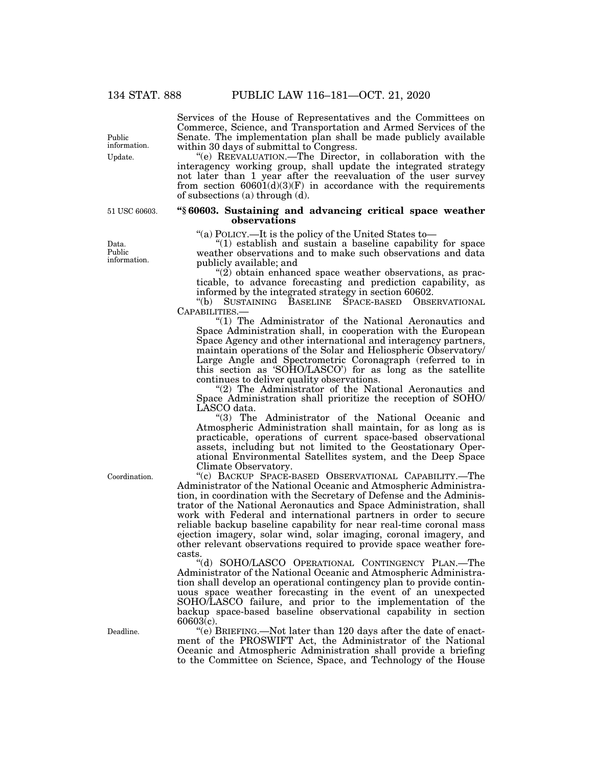Services of the House of Representatives and the Committees on Commerce, Science, and Transportation and Armed Services of the Senate. The implementation plan shall be made publicly available within 30 days of submittal to Congress.

''(e) REEVALUATION.—The Director, in collaboration with the interagency working group, shall update the integrated strategy not later than 1 year after the reevaluation of the user survey from section  $60601(d)(3)(F)$  in accordance with the requirements of subsections (a) through (d).

#### **''§ 60603. Sustaining and advancing critical space weather observations**

''(a) POLICY.—It is the policy of the United States to—

''(1) establish and sustain a baseline capability for space weather observations and to make such observations and data publicly available; and

 $(2)$  obtain enhanced space weather observations, as practicable, to advance forecasting and prediction capability, as informed by the integrated strategy in section 60602.

''(b) SUSTAINING BASELINE SPACE-BASED OBSERVATIONAL CAPABILITIES.—

"(1) The Administrator of the National Aeronautics and Space Administration shall, in cooperation with the European Space Agency and other international and interagency partners, maintain operations of the Solar and Heliospheric Observatory/ Large Angle and Spectrometric Coronagraph (referred to in this section as 'SOHO/LASCO') for as long as the satellite continues to deliver quality observations.

"(2) The Administrator of the National Aeronautics and Space Administration shall prioritize the reception of SOHO/ LASCO data.

"(3) The Administrator of the National Oceanic and Atmospheric Administration shall maintain, for as long as is practicable, operations of current space-based observational assets, including but not limited to the Geostationary Operational Environmental Satellites system, and the Deep Space Climate Observatory.

''(c) BACKUP SPACE-BASED OBSERVATIONAL CAPABILITY.—The Administrator of the National Oceanic and Atmospheric Administration, in coordination with the Secretary of Defense and the Administrator of the National Aeronautics and Space Administration, shall work with Federal and international partners in order to secure reliable backup baseline capability for near real-time coronal mass ejection imagery, solar wind, solar imaging, coronal imagery, and other relevant observations required to provide space weather forecasts.

''(d) SOHO/LASCO OPERATIONAL CONTINGENCY PLAN.—The Administrator of the National Oceanic and Atmospheric Administration shall develop an operational contingency plan to provide continuous space weather forecasting in the event of an unexpected SOHO/LASCO failure, and prior to the implementation of the backup space-based baseline observational capability in section  $60603(c)$ .

''(e) BRIEFING.—Not later than 120 days after the date of enactment of the PROSWIFT Act, the Administrator of the National Oceanic and Atmospheric Administration shall provide a briefing to the Committee on Science, Space, and Technology of the House

Update. Public information.

51 USC 60603.

Data. Public information.

Coordination.

Deadline.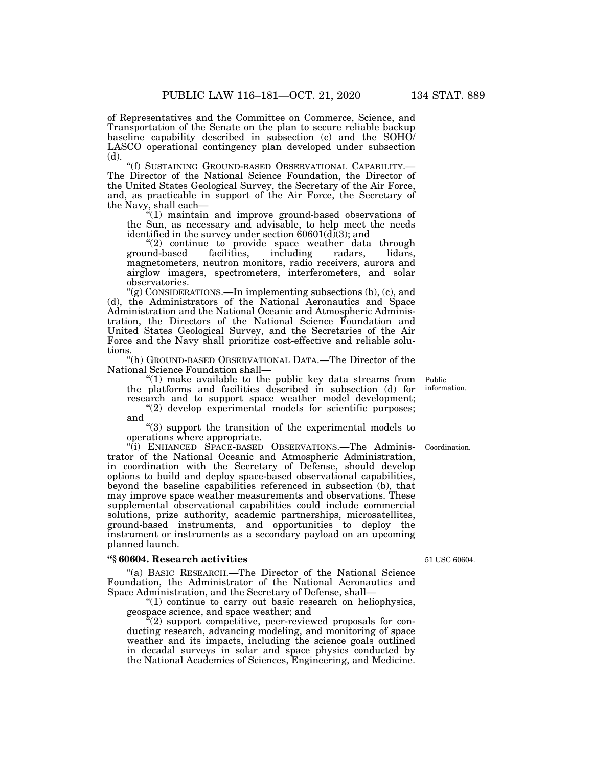of Representatives and the Committee on Commerce, Science, and Transportation of the Senate on the plan to secure reliable backup baseline capability described in subsection (c) and the SOHO/ LASCO operational contingency plan developed under subsection (d).

''(f) SUSTAINING GROUND-BASED OBSERVATIONAL CAPABILITY.— The Director of the National Science Foundation, the Director of the United States Geological Survey, the Secretary of the Air Force, and, as practicable in support of the Air Force, the Secretary of the Navy, shall each—

''(1) maintain and improve ground-based observations of the Sun, as necessary and advisable, to help meet the needs identified in the survey under section  $60601(d)(3)$ ; and

"(2) continue to provide space weather data through<br>
ind-based facilities, including radars, lidars, ground-based facilities, including radars, lidars, magnetometers, neutron monitors, radio receivers, aurora and airglow imagers, spectrometers, interferometers, and solar observatories.

''(g) CONSIDERATIONS.—In implementing subsections (b), (c), and (d), the Administrators of the National Aeronautics and Space Administration and the National Oceanic and Atmospheric Administration, the Directors of the National Science Foundation and United States Geological Survey, and the Secretaries of the Air Force and the Navy shall prioritize cost-effective and reliable solutions.

''(h) GROUND-BASED OBSERVATIONAL DATA.—The Director of the National Science Foundation shall—

''(1) make available to the public key data streams from the platforms and facilities described in subsection (d) for research and to support space weather model development;

"(2) develop experimental models for scientific purposes; and

''(3) support the transition of the experimental models to operations where appropriate.

''(i) ENHANCED SPACE-BASED OBSERVATIONS.—The Administrator of the National Oceanic and Atmospheric Administration, in coordination with the Secretary of Defense, should develop options to build and deploy space-based observational capabilities, beyond the baseline capabilities referenced in subsection (b), that may improve space weather measurements and observations. These supplemental observational capabilities could include commercial solutions, prize authority, academic partnerships, microsatellites, ground-based instruments, and opportunities to deploy the instrument or instruments as a secondary payload on an upcoming planned launch.

#### **''§ 60604. Research activities**

''(a) BASIC RESEARCH.—The Director of the National Science Foundation, the Administrator of the National Aeronautics and Space Administration, and the Secretary of Defense, shall—

''(1) continue to carry out basic research on heliophysics, geospace science, and space weather; and

 $\sqrt[n]{(2)}$  support competitive, peer-reviewed proposals for conducting research, advancing modeling, and monitoring of space weather and its impacts, including the science goals outlined in decadal surveys in solar and space physics conducted by the National Academies of Sciences, Engineering, and Medicine.

51 USC 60604.

Public information.

Coordination.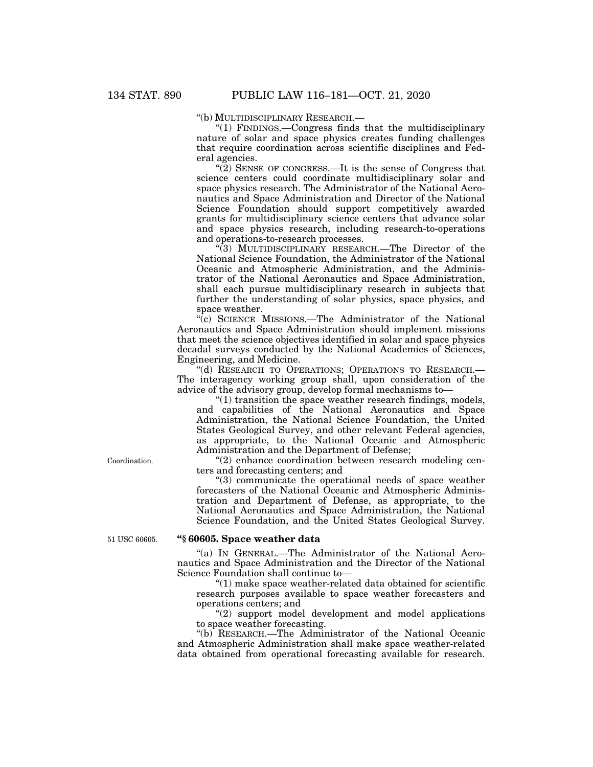''(b) MULTIDISCIPLINARY RESEARCH.—

''(1) FINDINGS.—Congress finds that the multidisciplinary nature of solar and space physics creates funding challenges that require coordination across scientific disciplines and Federal agencies.

"(2) SENSE OF CONGRESS.—It is the sense of Congress that science centers could coordinate multidisciplinary solar and space physics research. The Administrator of the National Aeronautics and Space Administration and Director of the National Science Foundation should support competitively awarded grants for multidisciplinary science centers that advance solar and space physics research, including research-to-operations and operations-to-research processes.

''(3) MULTIDISCIPLINARY RESEARCH.—The Director of the National Science Foundation, the Administrator of the National Oceanic and Atmospheric Administration, and the Administrator of the National Aeronautics and Space Administration, shall each pursue multidisciplinary research in subjects that further the understanding of solar physics, space physics, and space weather.

''(c) SCIENCE MISSIONS.—The Administrator of the National Aeronautics and Space Administration should implement missions that meet the science objectives identified in solar and space physics decadal surveys conducted by the National Academies of Sciences, Engineering, and Medicine.

''(d) RESEARCH TO OPERATIONS; OPERATIONS TO RESEARCH.— The interagency working group shall, upon consideration of the advice of the advisory group, develop formal mechanisms to—

''(1) transition the space weather research findings, models, and capabilities of the National Aeronautics and Space Administration, the National Science Foundation, the United States Geological Survey, and other relevant Federal agencies, as appropriate, to the National Oceanic and Atmospheric Administration and the Department of Defense;

''(2) enhance coordination between research modeling centers and forecasting centers; and

''(3) communicate the operational needs of space weather forecasters of the National Oceanic and Atmospheric Administration and Department of Defense, as appropriate, to the National Aeronautics and Space Administration, the National Science Foundation, and the United States Geological Survey.

51 USC 60605.

Coordination.

#### **''§ 60605. Space weather data**

''(a) IN GENERAL.—The Administrator of the National Aeronautics and Space Administration and the Director of the National Science Foundation shall continue to—

''(1) make space weather-related data obtained for scientific research purposes available to space weather forecasters and operations centers; and

''(2) support model development and model applications to space weather forecasting.

''(b) RESEARCH.—The Administrator of the National Oceanic and Atmospheric Administration shall make space weather-related data obtained from operational forecasting available for research.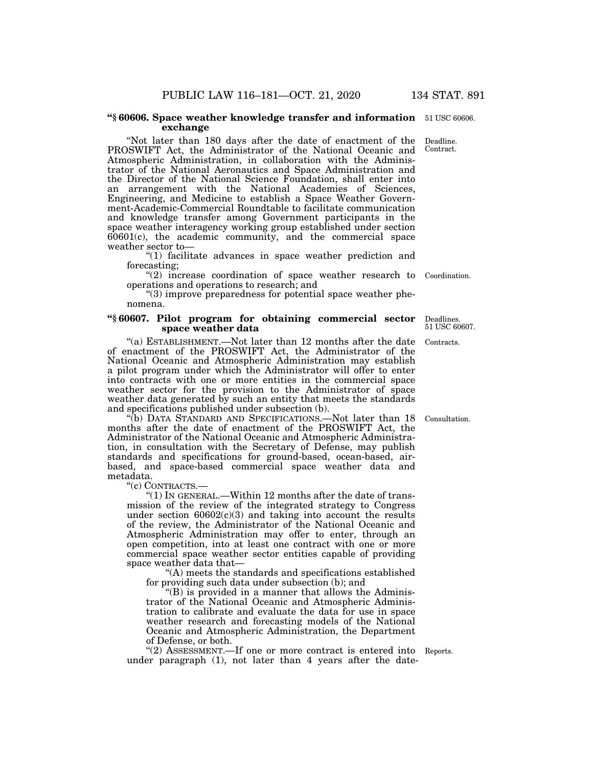#### **''§ 60606. Space weather knowledge transfer and information**  51 USC 60606. **exchange**

''Not later than 180 days after the date of enactment of the PROSWIFT Act, the Administrator of the National Oceanic and Atmospheric Administration, in collaboration with the Administrator of the National Aeronautics and Space Administration and the Director of the National Science Foundation, shall enter into an arrangement with the National Academies of Sciences, Engineering, and Medicine to establish a Space Weather Government-Academic-Commercial Roundtable to facilitate communication and knowledge transfer among Government participants in the space weather interagency working group established under section 60601(c), the academic community, and the commercial space weather sector to— Contract.

''(1) facilitate advances in space weather prediction and forecasting;

"(2) increase coordination of space weather research to Coordination. operations and operations to research; and

''(3) improve preparedness for potential space weather phenomena.

#### **''§ 60607. Pilot program for obtaining commercial sector space weather data**

"(a) ESTABLISHMENT.—Not later than 12 months after the date of enactment of the PROSWIFT Act, the Administrator of the National Oceanic and Atmospheric Administration may establish a pilot program under which the Administrator will offer to enter into contracts with one or more entities in the commercial space weather sector for the provision to the Administrator of space weather data generated by such an entity that meets the standards and specifications published under subsection (b).

''(b) DATA STANDARD AND SPECIFICATIONS.—Not later than 18 months after the date of enactment of the PROSWIFT Act, the Administrator of the National Oceanic and Atmospheric Administration, in consultation with the Secretary of Defense, may publish standards and specifications for ground-based, ocean-based, airbased, and space-based commercial space weather data and metadata.

''(c) CONTRACTS.—

"(1) In GENERAL.—Within 12 months after the date of transmission of the review of the integrated strategy to Congress under section  $60602(c)(3)$  and taking into account the results of the review, the Administrator of the National Oceanic and Atmospheric Administration may offer to enter, through an open competition, into at least one contract with one or more commercial space weather sector entities capable of providing space weather data that—

''(A) meets the standards and specifications established for providing such data under subsection (b); and

''(B) is provided in a manner that allows the Administrator of the National Oceanic and Atmospheric Administration to calibrate and evaluate the data for use in space weather research and forecasting models of the National Oceanic and Atmospheric Administration, the Department of Defense, or both.

"(2) ASSESSMENT.—If one or more contract is entered into Reports. under paragraph (1), not later than 4 years after the date-

Consultation.

Contracts. 51 USC 60607.

Deadlines.

Deadline.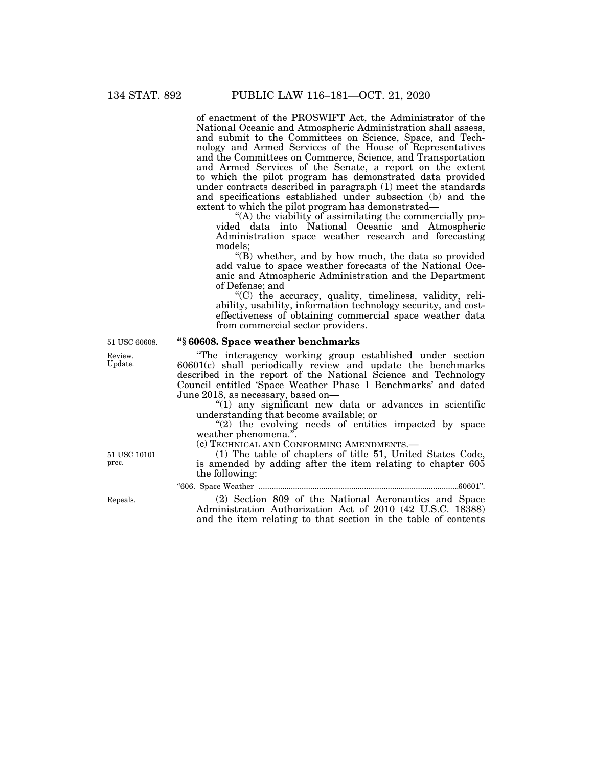of enactment of the PROSWIFT Act, the Administrator of the National Oceanic and Atmospheric Administration shall assess, and submit to the Committees on Science, Space, and Technology and Armed Services of the House of Representatives and the Committees on Commerce, Science, and Transportation and Armed Services of the Senate, a report on the extent to which the pilot program has demonstrated data provided under contracts described in paragraph (1) meet the standards and specifications established under subsection (b) and the extent to which the pilot program has demonstrated—

''(A) the viability of assimilating the commercially provided data into National Oceanic and Atmospheric Administration space weather research and forecasting models;

''(B) whether, and by how much, the data so provided add value to space weather forecasts of the National Oceanic and Atmospheric Administration and the Department of Defense; and

''(C) the accuracy, quality, timeliness, validity, reliability, usability, information technology security, and costeffectiveness of obtaining commercial space weather data from commercial sector providers.

#### **''§ 60608. Space weather benchmarks**

''The interagency working group established under section 60601(c) shall periodically review and update the benchmarks described in the report of the National Science and Technology Council entitled 'Space Weather Phase 1 Benchmarks' and dated June 2018, as necessary, based on—

" $(1)$  any significant new data or advances in scientific understanding that become available; or

"(2) the evolving needs of entities impacted by space weather phenomena.''.

(c) TECHNICAL AND CONFORMING AMENDMENTS.—

(1) The table of chapters of title 51, United States Code, is amended by adding after the item relating to chapter 605 the following:

''606. Space Weather .............................................................................................60601''.

(2) Section 809 of the National Aeronautics and Space Administration Authorization Act of 2010 (42 U.S.C. 18388) and the item relating to that section in the table of contents

51 USC 60608.

Review. Update.

Repeals.

51 USC 10101 prec.